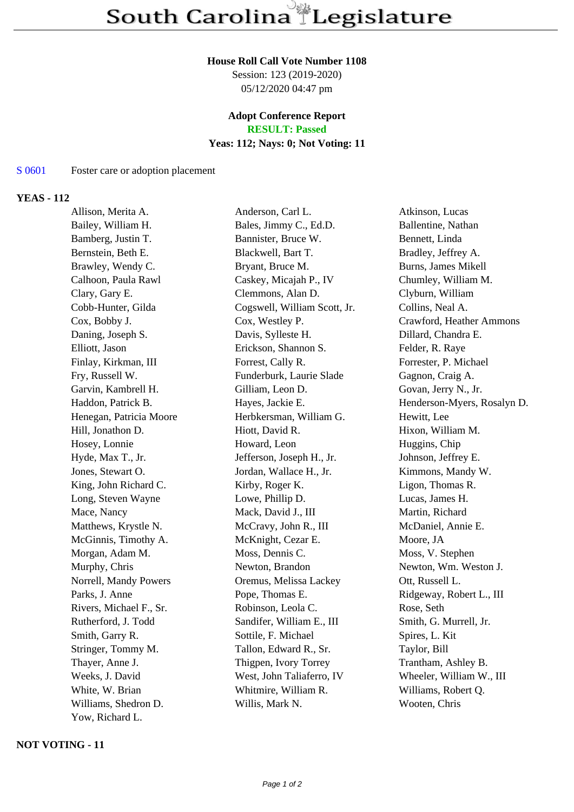### **House Roll Call Vote Number 1108**

Session: 123 (2019-2020) 05/12/2020 04:47 pm

# **Adopt Conference Report**

**RESULT: Passed**

# **Yeas: 112; Nays: 0; Not Voting: 11**

#### S 0601 Foster care or adoption placement

## **YEAS - 112**

Allison, Merita A. Anderson, Carl L. Atkinson, Lucas Bailey, William H. Bales, Jimmy C., Ed.D. Ballentine, Nathan Bamberg, Justin T. Bannister, Bruce W. Bennett, Linda Bernstein, Beth E. Blackwell, Bart T. Bradley, Jeffrey A. Brawley, Wendy C. **Bryant, Bruce M.** Burns, James Mikell Calhoon, Paula Rawl Caskey, Micajah P., IV Chumley, William M. Clary, Gary E. Clemmons, Alan D. Clyburn, William Cobb-Hunter, Gilda Cogswell, William Scott, Jr. Collins, Neal A. Cox, Bobby J. Cox, Westley P. Crawford, Heather Ammons Daning, Joseph S. Davis, Sylleste H. Dillard, Chandra E. Elliott, Jason Erickson, Shannon S. Felder, R. Raye Finlay, Kirkman, III Forrest, Cally R. Forrester, P. Michael Fry, Russell W. Funderburk, Laurie Slade Gagnon, Craig A. Garvin, Kambrell H. Gilliam, Leon D. Govan, Jerry N., Jr. Haddon, Patrick B. Hayes, Jackie E. Henderson-Myers, Rosalyn D. Henegan, Patricia Moore Herbkersman, William G. Hewitt, Lee Hill, Jonathon D. Hiott, David R. Hixon, William M. Hosey, Lonnie Howard, Leon Huggins, Chip Hyde, Max T., Jr. Jefferson, Joseph H., Jr. Johnson, Jeffrey E. Jones, Stewart O. Jordan, Wallace H., Jr. Kimmons, Mandy W. King, John Richard C. Kirby, Roger K. Ligon, Thomas R. Long, Steven Wayne Lowe, Phillip D. Lucas, James H. Mace, Nancy **Mack, David J., III** Martin, Richard Matthews, Krystle N. McCravy, John R., III McDaniel, Annie E. McGinnis, Timothy A. McKnight, Cezar E. Moore, JA Morgan, Adam M. Moss, Dennis C. Moss, V. Stephen Murphy, Chris **Newton, Brandon** Newton, Brandon Newton, Wm. Weston J. Norrell, Mandy Powers Oremus, Melissa Lackey Ott, Russell L. Parks, J. Anne Pope, Thomas E. Ridgeway, Robert L., III Rivers, Michael F., Sr. Robinson, Leola C. Rose, Seth Rutherford, J. Todd Sandifer, William E., III Smith, G. Murrell, Jr. Smith, Garry R. Sottile, F. Michael Spires, L. Kit Stringer, Tommy M. Tallon, Edward R., Sr. Taylor, Bill Thayer, Anne J. Thigpen, Ivory Torrey Trantham, Ashley B. Weeks, J. David West, John Taliaferro, IV Wheeler, William W., III White, W. Brian Whitmire, William R. Williams, Robert Q. Williams, Shedron D. Willis, Mark N. Wooten, Chris Yow, Richard L.

## **NOT VOTING - 11**